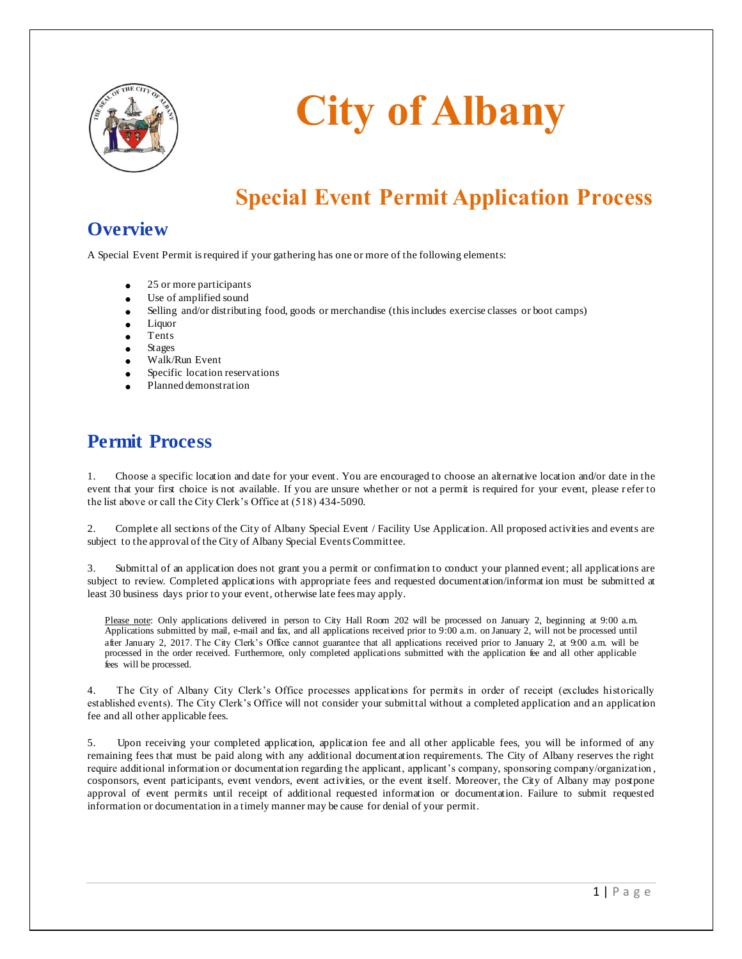

# **City of Albany**

# **Special Event Permit Application Process**

# **Overview**

A Special Event Permit is required if your gathering has one or more of the following elements:

- 25 or more participants
- Use of amplified sound
- Selling and/or distributing food, goods or merchandise (this includes exercise classes or boot camps)
- Liquor
- Tents
- Stages
- Walk/Run Event
- Specific location reservations
- Planned demonstration

# **Permit Process**

1. Choose a specific location and date for your event. You are encouraged to choose an alternative location and/or date in the event that your first choice is not available. If you are unsure whether or not a permit is required for your event, please r efer to the list above or call the City Clerk's Office at (518) 434-5090.

2. Complete all sections of the City of Albany Special Event / Facility Use Application. All proposed activities and events are subject to the approval of the City of Albany Special Events Committee.

Submittal of an application does not grant you a permit or confirmation to conduct your planned event; all applications are subject to review. Completed applications with appropriate fees and requested documentation/informat ion must be submitted at least 30 business days prior to your event, otherwise late fees may apply.

Please note: Only applications delivered in person to City Hall Room 202 will be processed on January 2, beginning at 9:00 a.m. Applications submitted by mail, e-mail and fax, and all applications received prior to 9:00 a.m. on January 2, will not be processed until after January 2, 2017. The City Clerk's Office cannot guarantee that all applications received prior to January 2, at 9:00 a.m. will be processed in the order received. Furthermore, only completed applications submitted with the application fee and all other applicable fees will be processed.

4. The City of Albany City Clerk's Office processes applications for permits in order of receipt (excludes historically established events). The City Clerk's Office will not consider your submittal without a completed application and an application fee and all other applicable fees.

5. Upon receiving your completed application, application fee and all other applicable fees, you will be informed of any remaining fees that must be paid along with any additional documentation requirements. The City of Albany reserves the right require additional information or documentation regarding the applicant, applicant's company, sponsoring company/organization , cosponsors, event participants, event vendors, event activities, or the event itself. Moreover, the City of Albany may postpone approval of event permits until receipt of additional requested information or documentation. Failure to submit requested information or documentation in a timely manner may be cause for denial of your permit.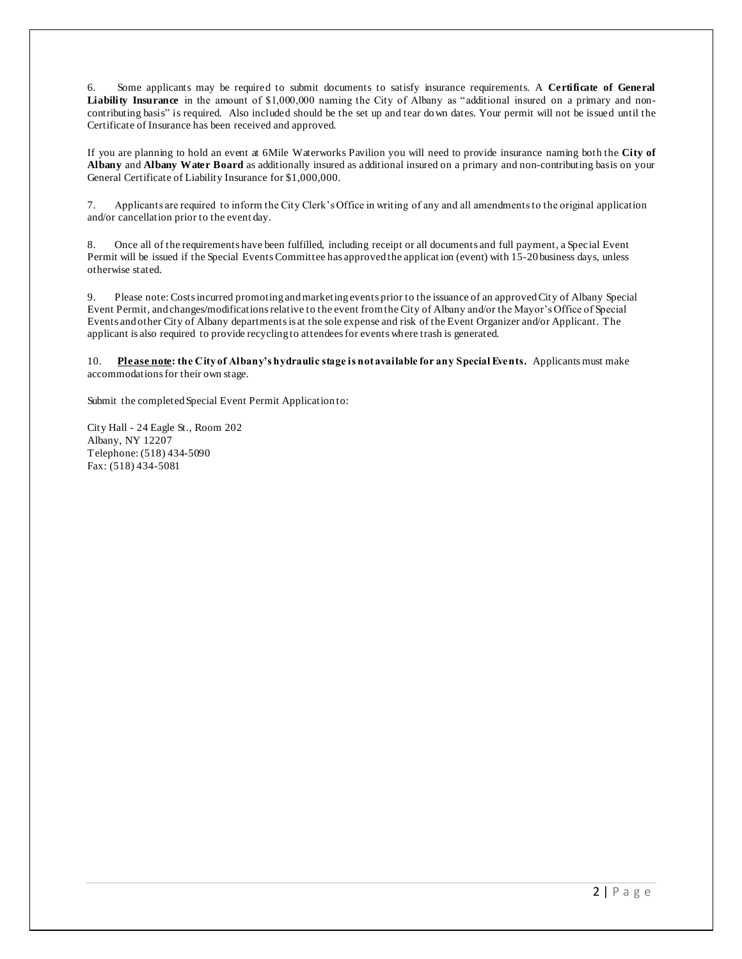6. Some applicants may be required to submit documents to satisfy insurance requirements. A **Certificate of General Liability Insurance** in the amount of \$1,000,000 naming the City of Albany as "additional insured on a primary and noncontributing basis" is required. Also included should be the set up and tear do wn dates. Your permit will not be issued until the Certificate of Insurance has been received and approved.

If you are planning to hold an event at 6Mile Waterworks Pavilion you will need to provide insurance naming both the **City of Albany** and **Albany Water Board** as additionally insured as additional insured on a primary and non-contributing basis on your General Certificate of Liability Insurance for \$1,000,000.

7. Applicants are required to inform the City Clerk's Office in writing of any and all amendments to the original application and/or cancellation prior to the event day.

8. Once all of the requirements have been fulfilled, including receipt or all documents and full payment, a Spec ial Event Permit will be issued if the Special Events Committee has approved the applicat ion (event) with 15-20 business days, unless otherwise stated.

9. Please note: Costs incurred promoting and marketing events prior to the issuance of an approved City of Albany Special Event Permit, and changes/modifications relative to the event from the City of Albany and/or the Mayor's Office of Special Events and other City of Albany departments is at the sole expense and risk of the Event Organizer and/or Applicant. The applicant is also required to provide recycling to attendees for events where trash is generated.

10. **Please note: the City of Albany's hydraulic stage is not available for any Special Events.** Applicants must make accommodations for their own stage.

Submit the completed Special Event Permit Application to:

City Hall - 24 Eagle St., Room 202 Albany, NY 12207 Telephone: (518) 434-5090 Fax: (518) 434-5081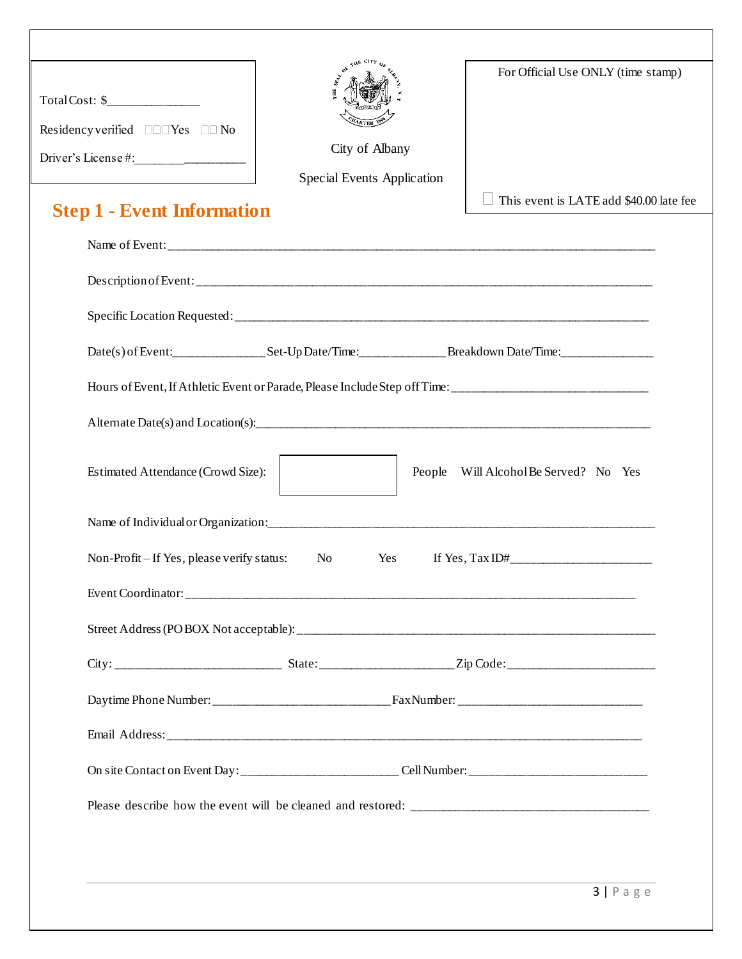| Residency verified $\square\square \text{Yes} \square \square \text{No}$<br>Driver's License # $:$ | City of Albany<br>Special Events Application                                                         | For Official Use ONLY (time stamp)                                                                  |  |  |  |  |
|----------------------------------------------------------------------------------------------------|------------------------------------------------------------------------------------------------------|-----------------------------------------------------------------------------------------------------|--|--|--|--|
| <b>Step 1 - Event Information</b>                                                                  |                                                                                                      | This event is LATE add \$40.00 late fee                                                             |  |  |  |  |
|                                                                                                    |                                                                                                      |                                                                                                     |  |  |  |  |
|                                                                                                    |                                                                                                      |                                                                                                     |  |  |  |  |
|                                                                                                    |                                                                                                      |                                                                                                     |  |  |  |  |
|                                                                                                    |                                                                                                      |                                                                                                     |  |  |  |  |
|                                                                                                    |                                                                                                      | Hours of Event, If Athletic Event or Parade, Please Include Step off Time: ________________________ |  |  |  |  |
|                                                                                                    |                                                                                                      |                                                                                                     |  |  |  |  |
| Estimated Attendance (Crowd Size):                                                                 |                                                                                                      | Will Alcohol Be Served? No Yes<br>People                                                            |  |  |  |  |
|                                                                                                    |                                                                                                      |                                                                                                     |  |  |  |  |
| Non-Profit – If Yes, please verify status:                                                         | N <sub>o</sub><br>Yes                                                                                |                                                                                                     |  |  |  |  |
|                                                                                                    |                                                                                                      |                                                                                                     |  |  |  |  |
|                                                                                                    |                                                                                                      |                                                                                                     |  |  |  |  |
|                                                                                                    |                                                                                                      |                                                                                                     |  |  |  |  |
|                                                                                                    |                                                                                                      |                                                                                                     |  |  |  |  |
|                                                                                                    |                                                                                                      |                                                                                                     |  |  |  |  |
|                                                                                                    | On site Contact on Event Day: ___________________________Cell Number: ______________________________ |                                                                                                     |  |  |  |  |
|                                                                                                    |                                                                                                      |                                                                                                     |  |  |  |  |
|                                                                                                    |                                                                                                      |                                                                                                     |  |  |  |  |
|                                                                                                    |                                                                                                      |                                                                                                     |  |  |  |  |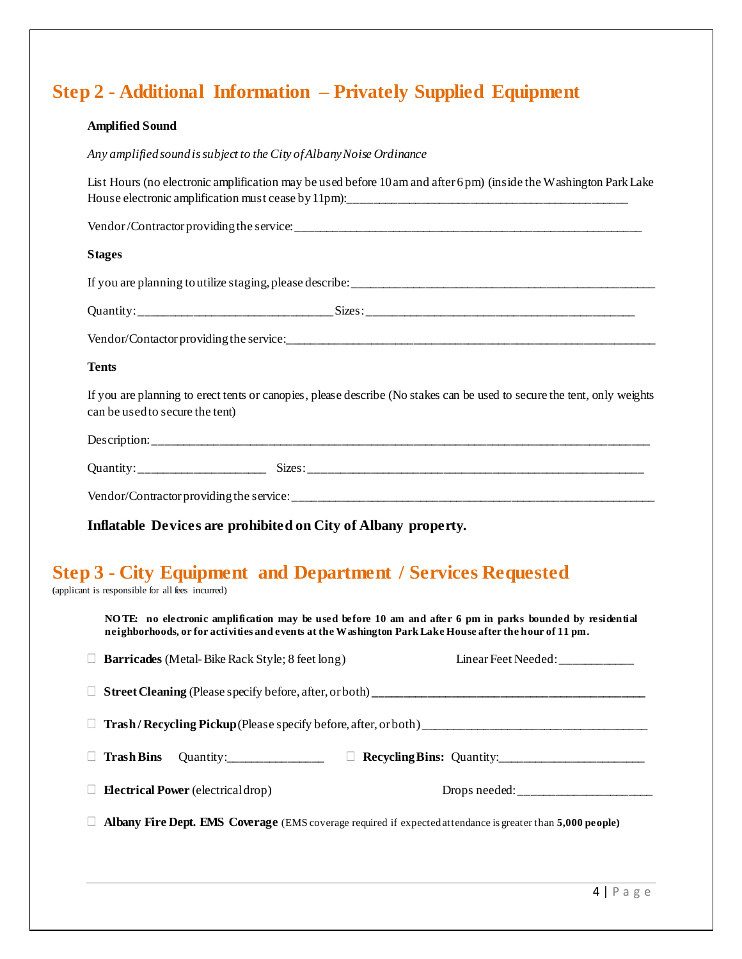# **Step 2 - Additional Information – Privately Supplied Equipment**

#### **Amplified Sound**

*Any amplified sound is subject to the City of Albany Noise Ordinance*

| List Hours (no electronic amplification may be used before 10 am and after 6pm) (inside the Washington Park Lake                                                                                                                                                                                |
|-------------------------------------------------------------------------------------------------------------------------------------------------------------------------------------------------------------------------------------------------------------------------------------------------|
|                                                                                                                                                                                                                                                                                                 |
| <b>Stages</b>                                                                                                                                                                                                                                                                                   |
|                                                                                                                                                                                                                                                                                                 |
|                                                                                                                                                                                                                                                                                                 |
|                                                                                                                                                                                                                                                                                                 |
| <b>Tents</b>                                                                                                                                                                                                                                                                                    |
| If you are planning to erect tents or canopies, please describe (No stakes can be used to secure the tent, only weights<br>can be used to secure the tent)                                                                                                                                      |
|                                                                                                                                                                                                                                                                                                 |
|                                                                                                                                                                                                                                                                                                 |
|                                                                                                                                                                                                                                                                                                 |
| $\mathbf{r}$ and $\mathbf{r}$ are the second as $\mathbf{r}$ as $\mathbf{r}$ as $\mathbf{r}$ as $\mathbf{r}$ as $\mathbf{r}$ as $\mathbf{r}$ as $\mathbf{r}$ as $\mathbf{r}$ as $\mathbf{r}$ as $\mathbf{r}$ as $\mathbf{r}$ as $\mathbf{r}$ as $\mathbf{r}$ as $\mathbf{r}$ as $\mathbf{r}$ as |

**Inflatable Devices are prohibited on City of Albany property.**

# **Step 3 - City Equipment and Department / Services Requested**

(applicant is responsible for all fees incurred)

**NO TE: no electronic amplification may be used before 10 am and after 6 pm in parks bounded by residential neighborhoods, or for activities and events at the Washington Park Lake House after the hour of 11 pm.**

| <b>Barricades</b> (Metal-Bike Rack Style; 8 feet long)                                                     |        | Linear Feet Needed: ____________ |  |  |  |  |  |
|------------------------------------------------------------------------------------------------------------|--------|----------------------------------|--|--|--|--|--|
|                                                                                                            |        |                                  |  |  |  |  |  |
|                                                                                                            |        |                                  |  |  |  |  |  |
| Trash Bins Quantity:                                                                                       | $\Box$ |                                  |  |  |  |  |  |
| <b>Electrical Power</b> (electrical drop)                                                                  |        | Drops needed:                    |  |  |  |  |  |
| Albany Fire Dept. EMS Coverage (EMS coverage required if expected attendance is greater than 5,000 people) |        |                                  |  |  |  |  |  |
|                                                                                                            |        |                                  |  |  |  |  |  |
|                                                                                                            |        |                                  |  |  |  |  |  |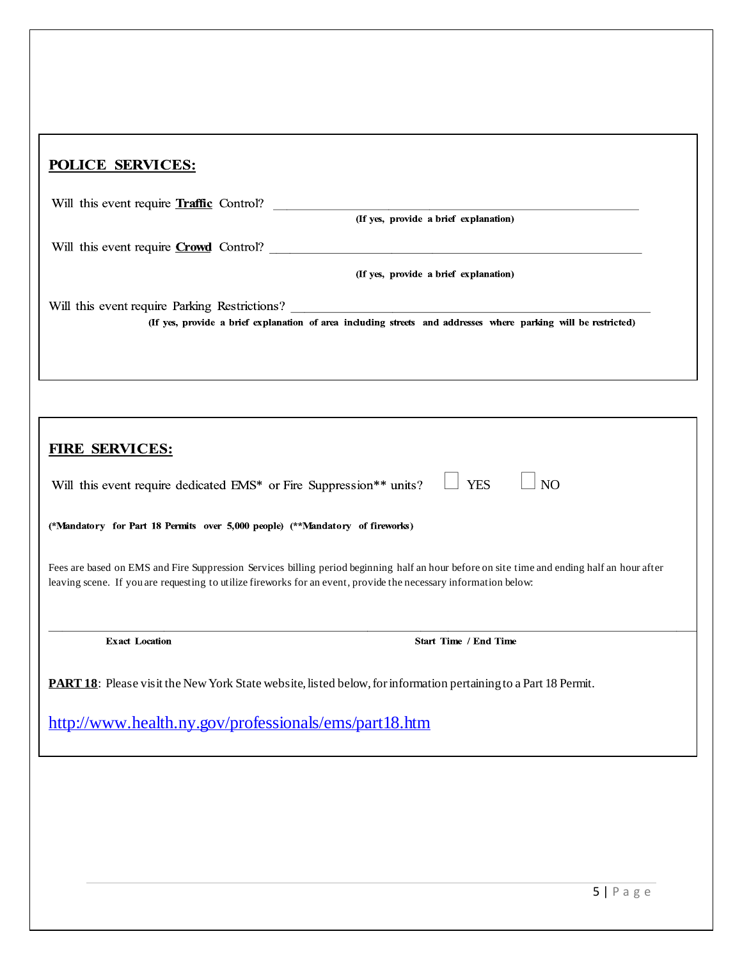| <b>POLICE SERVICES:</b>                                                                                                                                                                                                                                         |  |  |  |
|-----------------------------------------------------------------------------------------------------------------------------------------------------------------------------------------------------------------------------------------------------------------|--|--|--|
| Will this event require <b>Traffic</b> Control?<br>(If yes, provide a brief explanation)                                                                                                                                                                        |  |  |  |
| Will this event require Crowd Control?                                                                                                                                                                                                                          |  |  |  |
| (If yes, provide a brief explanation)                                                                                                                                                                                                                           |  |  |  |
| Will this event require Parking Restrictions? ___________________________________<br>(If yes, provide a brief explanation of area including streets and addresses where parking will be restricted)                                                             |  |  |  |
|                                                                                                                                                                                                                                                                 |  |  |  |
| FIRE SERVICES:                                                                                                                                                                                                                                                  |  |  |  |
| <b>YES</b><br>N <sub>O</sub><br>Will this event require dedicated EMS* or Fire Suppression** units?                                                                                                                                                             |  |  |  |
| (*Mandatory for Part 18 Permits over 5,000 people) (**Mandatory of fireworks)                                                                                                                                                                                   |  |  |  |
| Fees are based on EMS and Fire Suppression Services billing period beginning half an hour before on site time and ending half an hour after<br>leaving scene. If you are requesting to utilize fireworks for an event, provide the necessary information below: |  |  |  |

**Exact Location** 

Start Time / End Time

**PART 18**: Please visit the New York State website, listed below, for information pertaining to a Part 18 Permit.

<http://www.health.ny.gov/professionals/ems/part18.htm>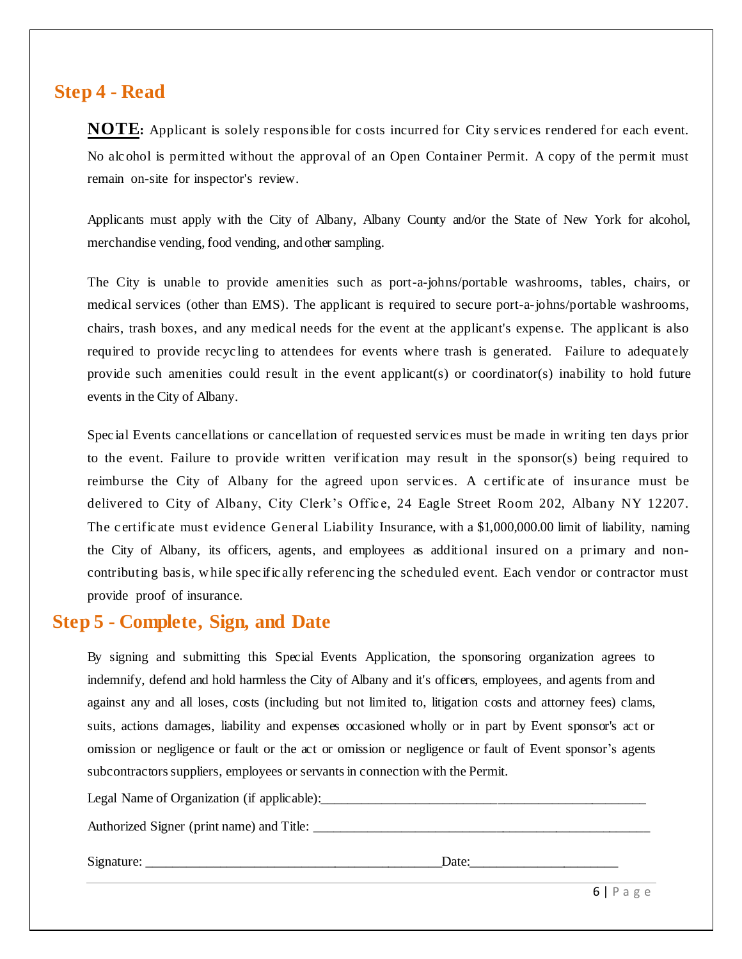#### **Step 4 - Read**

**NOTE:** Applicant is solely responsible for costs incurred for City services rendered for each event. No alc ohol is permitted without the approval of an Open Container Permit. A copy of the permit must remain on-site for inspector's review.

Applicants must apply with the City of Albany, Albany County and/or the State of New York for alcohol, merchandise vending, food vending, and other sampling.

The City is unable to provide amenities such as port-a-johns/portable washrooms, tables, chairs, or medical services (other than EMS). The applicant is required to secure port-a-johns/portable washrooms, chairs, trash boxes, and any medical needs for the event at the applicant's expense. The applicant is also required to provide recyc ling to attendees for events where trash is generated. Failure to adequately provide such amenities could result in the event applicant(s) or coordinator(s) inability to hold future events in the City of Albany.

Spec ial Events cancellations or cancellation of requested servic es must be made in writing ten days prior to the event. Failure to provide written verification may result in the sponsor(s) being required to reimburse the City of Albany for the agreed upon servic es. A c ertific ate of insurance must be delivered to City of Albany, City Clerk's Office, 24 Eagle Street Room 202, Albany NY 12207. The c ertific ate must evidence General Liability Insurance, with a \$1,000,000.00 limit of liability, naming the City of Albany, its officers, agents, and employees as additional insured on a primary and noncontributing basis, w hile spec ific ally referenc ing the scheduled event. Each vendor or contractor must provide proof of insurance.

### **Step 5 - Complete, Sign, and Date**

By signing and submitting this Special Events Application, the sponsoring organization agrees to indemnify, defend and hold harmless the City of Albany and it's officers, employees, and agents from and against any and all loses, costs (including but not limited to, litigation costs and attorney fees) clams, suits, actions damages, liability and expenses occasioned wholly or in part by Event sponsor's act or omission or negligence or fault or the act or omission or negligence or fault of Event sponsor's agents subcontractors suppliers, employees or servants in connection with the Permit.

Legal Name of Organization (if applicable):\_\_\_\_\_\_\_\_\_\_\_\_\_\_\_\_\_\_\_\_\_\_\_\_\_\_\_\_\_\_\_\_\_\_\_\_\_\_\_\_\_\_\_\_\_\_\_\_ Authorized Signer (print name) and Title: Signature:  $\Box$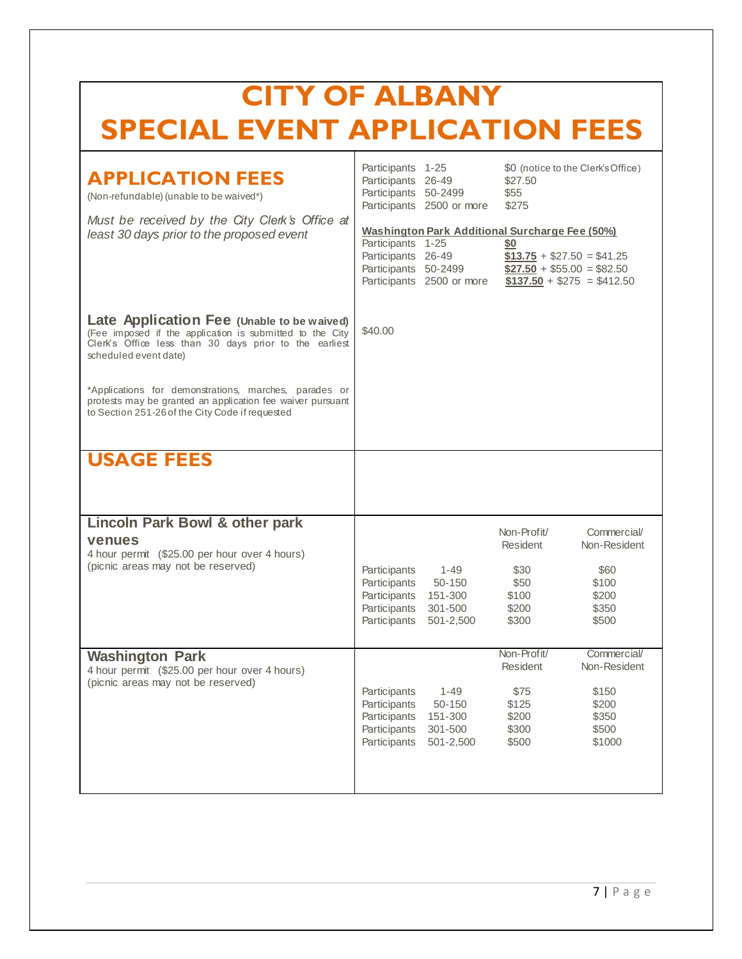| <b>CITY OF ALBANY</b>                                                                                                                                                                     |                                                                                                                                                                                                                                 |                            |  |  |  |  |  |  |
|-------------------------------------------------------------------------------------------------------------------------------------------------------------------------------------------|---------------------------------------------------------------------------------------------------------------------------------------------------------------------------------------------------------------------------------|----------------------------|--|--|--|--|--|--|
|                                                                                                                                                                                           | <b>SPECIAL EVENT APPLICATION FEES</b>                                                                                                                                                                                           |                            |  |  |  |  |  |  |
| <b>APPLICATION FEES</b><br>(Non-refundable) (unable to be waived*)                                                                                                                        | Participants 1-25<br>\$0 (notice to the Clerk's Office)<br>\$27.50<br>Participants<br>26-49<br>Participants 50-2499<br>\$55<br>Participants 2500 or more<br>\$275                                                               |                            |  |  |  |  |  |  |
| Must be received by the City Clerk's Office at<br>least 30 days prior to the proposed event                                                                                               | Washington Park Additional Surcharge Fee (50%)<br>Participants 1-25<br>\$0<br>Participants 26-49<br>$$13.75 + $27.50 = $41.25$<br>Participants 50-2499<br>$$27.50 + $55.00 = $82.50$<br>Participants 2500 or more               | $$137.50 + $275 = $412.50$ |  |  |  |  |  |  |
| Late Application Fee (Unable to be waived)<br>(Fee imposed if the application is submitted to the City<br>Clerk's Office less than 30 days prior to the earliest<br>scheduled event date) | \$40.00                                                                                                                                                                                                                         |                            |  |  |  |  |  |  |
| *Applications for demonstrations, marches, parades or<br>protests may be granted an application fee waiver pursuant<br>to Section 251-26 of the City Code if requested                    |                                                                                                                                                                                                                                 |                            |  |  |  |  |  |  |
| <b>USAGE FEES</b>                                                                                                                                                                         |                                                                                                                                                                                                                                 |                            |  |  |  |  |  |  |
| <b>Lincoln Park Bowl &amp; other park</b><br>venues<br>4 hour permit (\$25.00 per hour over 4 hours)                                                                                      | Commercial/<br>Non-Profit/<br>Non-Resident<br>Resident                                                                                                                                                                          |                            |  |  |  |  |  |  |
| (picnic areas may not be reserved)                                                                                                                                                        | Participants<br>1-49<br>\$30<br>\$60<br>\$100<br>Participants<br>50-150<br>\$50<br>\$200<br>Participants<br>151-300<br>\$100<br>\$200<br>\$350<br>Participants<br>301-500<br>Participants<br>\$300<br>\$500<br>501-2,500        |                            |  |  |  |  |  |  |
| <b>Washington Park</b><br>4 hour permit (\$25.00 per hour over 4 hours)<br>(picnic areas may not be reserved)                                                                             | Non-Profit/<br>Commercial/<br>Resident<br>Non-Resident                                                                                                                                                                          |                            |  |  |  |  |  |  |
|                                                                                                                                                                                           | $1 - 49$<br>\$150<br>Participants<br>\$75<br>\$125<br>\$200<br>Participants<br>50-150<br>\$200<br>\$350<br>Participants<br>151-300<br>\$300<br>\$500<br>Participants<br>301-500<br>\$500<br>\$1000<br>Participants<br>501-2,500 |                            |  |  |  |  |  |  |
|                                                                                                                                                                                           |                                                                                                                                                                                                                                 |                            |  |  |  |  |  |  |